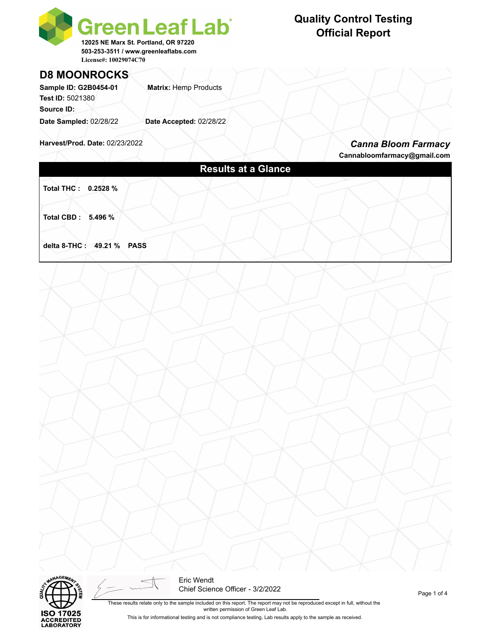

# **D8 MOONROCKS**

**Sample ID: G2B0454-01 Matrix: Hemp Products Test ID:** 5021380 **Source ID: Date Sampled:** 02/28/22 **Date Accepted:** 02/28/22

**Harvest/Prod. Date:** 02/23/2022

#### *Canna Bloom Farmacy* **Cannabloomfarmacy@gmail.com**

**Results at a Glance**

**Total THC : 0.2528 %** 

**Total CBD : 5.496 %** 

**delta 8-THC : 49.21 % PASS**



Eric Wendt Chief Science Officer - 3/2/2022

These results relate only to the sample included on this report. The report may not be reproduced except in full, without the written permission of Green Leaf Lab. This is for informational testing and is not compliance testing. Lab results apply to the sample as received.

## **Quality Control Testing Official Report**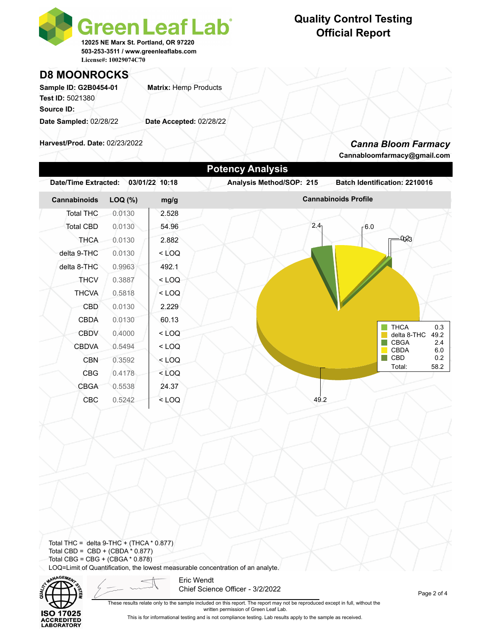

## **Quality Control Testing Official Report**

### **D8 MOONROCKS**

Sample ID: G2B0454-01 **Matrix: Hemp Products Test ID:** 5021380 **Source ID: Date Sampled:** 02/28/22 **Date Accepted:** 02/28/22

**Harvest/Prod. Date:** 02/23/2022

#### *Canna Bloom Farmacy*

**Cannabloomfarmacy@gmail.com**



Total THC = delta  $9$ -THC + (THCA  $*$  0.877) Total CBD =  $CBD + (CBDA * 0.877)$ Total CBG = CBG + (CBGA \* 0.878) LOQ=Limit of Quantification, the lowest measurable concentration of an analyte.



Eric Wendt Chief Science Officer - 3/2/2022

Page 2 of 4

These results relate only to the sample included on this report. The report may not be reproduced except in full, without the written permission of Green Leaf Lab. This is for informational testing and is not compliance testing. Lab results apply to the sample as received.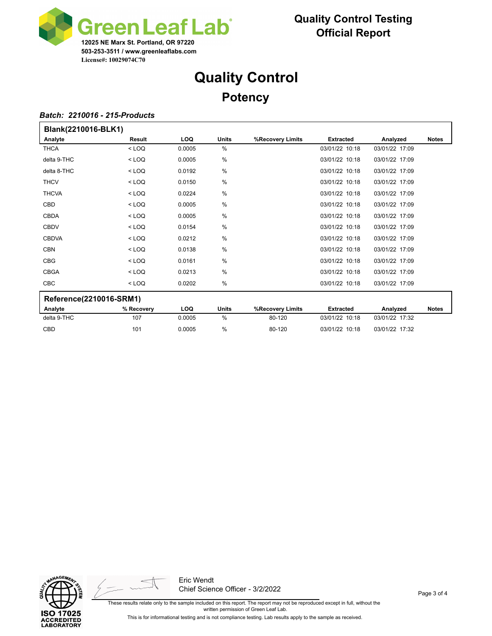

# **Quality Control Potency**

#### *Batch: 2210016 - 215-Products*

| Blank(2210016-BLK1)     |            |            |               |                  |                  |                |              |
|-------------------------|------------|------------|---------------|------------------|------------------|----------------|--------------|
| Analyte                 | Result     | <b>LOQ</b> | <b>Units</b>  | %Recovery Limits | <b>Extracted</b> | Analyzed       | <b>Notes</b> |
| <b>THCA</b>             | $<$ LOQ    | 0.0005     | $\%$          |                  | 03/01/22 10:18   | 03/01/22 17:09 |              |
| delta 9-THC             | $<$ LOQ    | 0.0005     | %             |                  | 03/01/22 10:18   | 03/01/22 17:09 |              |
| delta 8-THC             | $<$ LOQ    | 0.0192     | %             |                  | 03/01/22 10:18   | 03/01/22 17:09 |              |
| <b>THCV</b>             | $<$ LOQ    | 0.0150     | $\%$          |                  | 03/01/22 10:18   | 03/01/22 17:09 |              |
| <b>THCVA</b>            | $<$ LOQ    | 0.0224     | %             |                  | 03/01/22 10:18   | 03/01/22 17:09 |              |
| CBD                     | $<$ LOQ    | 0.0005     | $\frac{0}{0}$ |                  | 03/01/22 10:18   | 03/01/22 17:09 |              |
| <b>CBDA</b>             | $<$ LOQ    | 0.0005     | %             |                  | 03/01/22 10:18   | 03/01/22 17:09 |              |
| <b>CBDV</b>             | $<$ LOQ    | 0.0154     | $\frac{0}{0}$ |                  | 03/01/22 10:18   | 03/01/22 17:09 |              |
| <b>CBDVA</b>            | $<$ LOQ    | 0.0212     | $\%$          |                  | 03/01/22 10:18   | 03/01/22 17:09 |              |
| <b>CBN</b>              | $<$ LOQ    | 0.0138     | $\%$          |                  | 03/01/22 10:18   | 03/01/22 17:09 |              |
| <b>CBG</b>              | $<$ LOQ    | 0.0161     | %             |                  | 03/01/22 10:18   | 03/01/22 17:09 |              |
| <b>CBGA</b>             | $<$ LOQ    | 0.0213     | $\frac{0}{0}$ |                  | 03/01/22 10:18   | 03/01/22 17:09 |              |
| <b>CBC</b>              | $<$ LOQ    | 0.0202     | $\%$          |                  | 03/01/22 10:18   | 03/01/22 17:09 |              |
| Reference(2210016-SRM1) |            |            |               |                  |                  |                |              |
| Analyte                 | % Recovery | <b>LOQ</b> | <b>Units</b>  | %Recovery Limits | <b>Extracted</b> | Analyzed       | <b>Notes</b> |
| delta 9-THC             | 107        | 0.0005     | %             | 80-120           | 03/01/22 10:18   | 03/01/22 17:32 |              |

CBD 101 0.0005 % 80-120 03/01/22 10:18 03/01/22 17:32





Eric Wendt Chief Science Officer - 3/2/2022

These results relate only to the sample included on this report. The report may not be reproduced except in full, without the written permission of Green Leaf Lab. This is for informational testing and is not compliance testing. Lab results apply to the sample as received.